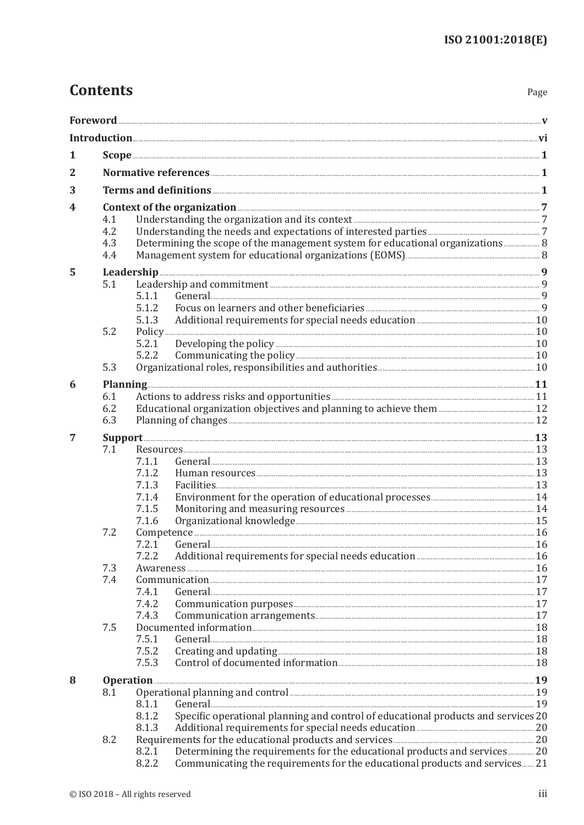## **Contents**

Page

| 1 |                                                                                                                                                                                                                                      |                                                                                                                                                                                                    |  |  |  |
|---|--------------------------------------------------------------------------------------------------------------------------------------------------------------------------------------------------------------------------------------|----------------------------------------------------------------------------------------------------------------------------------------------------------------------------------------------------|--|--|--|
| 2 |                                                                                                                                                                                                                                      |                                                                                                                                                                                                    |  |  |  |
| 3 |                                                                                                                                                                                                                                      |                                                                                                                                                                                                    |  |  |  |
|   |                                                                                                                                                                                                                                      |                                                                                                                                                                                                    |  |  |  |
| 4 | 4.1<br>4.2<br>4.3<br>4.4                                                                                                                                                                                                             | Context of the organization <b>Exercise Context</b> of the organization <b>and the set of the organization 7</b><br>Determining the scope of the management system for educational organizations 8 |  |  |  |
| 5 | Leadership <u>www.wasautana.com and all the set of the set of the set of the set of the set of the set of the set of the set of the set of the set of the set of the set of the set of the set of the set of the set of the set </u> |                                                                                                                                                                                                    |  |  |  |
|   | 5.1                                                                                                                                                                                                                                  | 5.1.1<br>5.1.2<br>5.1.3                                                                                                                                                                            |  |  |  |
|   | 5.2                                                                                                                                                                                                                                  | 5.2.1                                                                                                                                                                                              |  |  |  |
|   |                                                                                                                                                                                                                                      | 5.2.2                                                                                                                                                                                              |  |  |  |
|   | 5.3                                                                                                                                                                                                                                  |                                                                                                                                                                                                    |  |  |  |
| 6 |                                                                                                                                                                                                                                      | Planning 11                                                                                                                                                                                        |  |  |  |
|   | 6.1<br>6.2<br>6.3                                                                                                                                                                                                                    |                                                                                                                                                                                                    |  |  |  |
| 7 | Support <u>with the substitution of the substitution of the substitution of the substitution of the substitution of the substitution of the substitution of the substitution of the substitution of the substitution of the subs</u> |                                                                                                                                                                                                    |  |  |  |
|   | 7.1                                                                                                                                                                                                                                  | 7.1.1<br>7.1.2<br>7.1.3<br>7.1.4<br>7.1.5<br>7.1.6                                                                                                                                                 |  |  |  |
|   | 7.2                                                                                                                                                                                                                                  | 7.2.1<br>7.2.2                                                                                                                                                                                     |  |  |  |
|   | 7.3<br>7.4                                                                                                                                                                                                                           | 7.4.1<br>7.4.2<br>7.4.3                                                                                                                                                                            |  |  |  |
|   | 7.5                                                                                                                                                                                                                                  | 7.5.1<br>7.5.2<br>7.5.3                                                                                                                                                                            |  |  |  |
| 8 | Operation 29                                                                                                                                                                                                                         |                                                                                                                                                                                                    |  |  |  |
|   | 8.1                                                                                                                                                                                                                                  | Operational planning and control <b>manufacture and control</b> 29<br>8.1.1<br>Specific operational planning and control of educational products and services 20<br>8.1.2<br>8.1.3                 |  |  |  |
|   | 8.2                                                                                                                                                                                                                                  | Determining the requirements for the educational products and services 20<br>8.2.1<br>8.2.2<br>Communicating the requirements for the educational products and services 21                         |  |  |  |